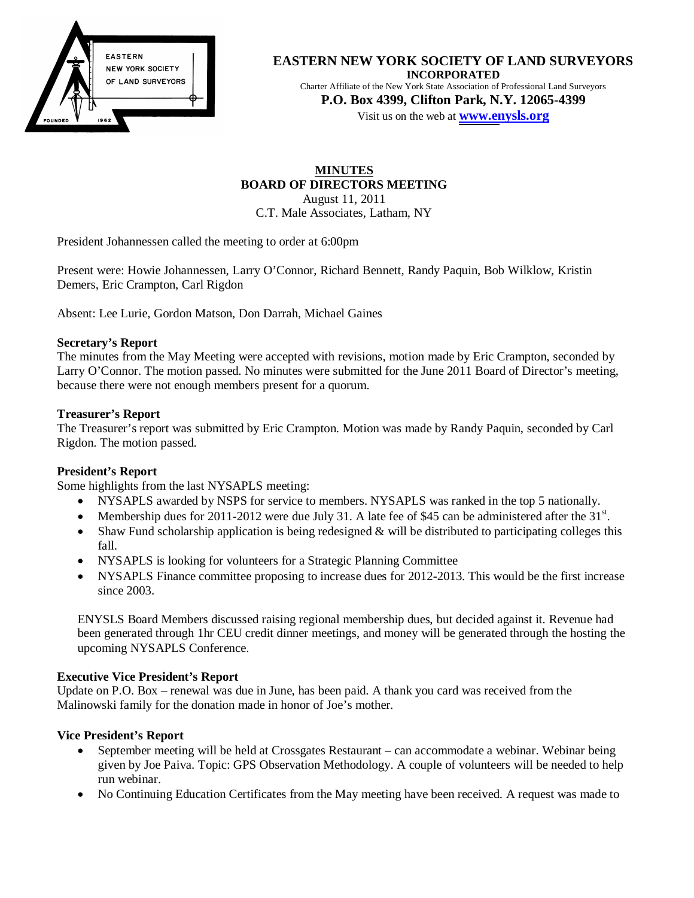

#### **EASTERN NEW YORK SOCIETY OF LAND SURVEYORS INCORPORATED**

Charter Affiliate of the New York State Association of Professional Land Surveyors **P.O. Box 4399, Clifton Park, N.Y. 12065-4399**  Visit us on the web at **[www.en](http://www.enysls.org/)ysls.org**

**MINUTES BOARD OF DIRECTORS MEETING**  August 11, 2011 C.T. Male Associates, Latham, NY

President Johannessen called the meeting to order at 6:00pm

Present were: Howie Johannessen, Larry O'Connor, Richard Bennett, Randy Paquin, Bob Wilklow, Kristin Demers, Eric Crampton, Carl Rigdon

Absent: Lee Lurie, Gordon Matson, Don Darrah, Michael Gaines

#### **Secretary's Report**

The minutes from the May Meeting were accepted with revisions, motion made by Eric Crampton, seconded by Larry O'Connor. The motion passed. No minutes were submitted for the June 2011 Board of Director's meeting, because there were not enough members present for a quorum.

#### **Treasurer's Report**

The Treasurer's report was submitted by Eric Crampton. Motion was made by Randy Paquin, seconded by Carl Rigdon. The motion passed.

# **President's Report**

Some highlights from the last NYSAPLS meeting:

- NYSAPLS awarded by NSPS for service to members. NYSAPLS was ranked in the top 5 nationally.
- Membership dues for 2011-2012 were due July 31. A late fee of \$45 can be administered after the  $31<sup>st</sup>$ .
- $\bullet$  Shaw Fund scholarship application is being redesigned & will be distributed to participating colleges this fall.
- NYSAPLS is looking for volunteers for a Strategic Planning Committee
- NYSAPLS Finance committee proposing to increase dues for 2012-2013. This would be the first increase since 2003.

ENYSLS Board Members discussed raising regional membership dues, but decided against it. Revenue had been generated through 1hr CEU credit dinner meetings, and money will be generated through the hosting the upcoming NYSAPLS Conference.

# **Executive Vice President's Report**

Update on P.O. Box – renewal was due in June, has been paid. A thank you card was received from the Malinowski family for the donation made in honor of Joe's mother.

# **Vice President's Report**

- September meeting will be held at Crossgates Restaurant can accommodate a webinar. Webinar being given by Joe Paiva. Topic: GPS Observation Methodology. A couple of volunteers will be needed to help run webinar.
- No Continuing Education Certificates from the May meeting have been received. A request was made to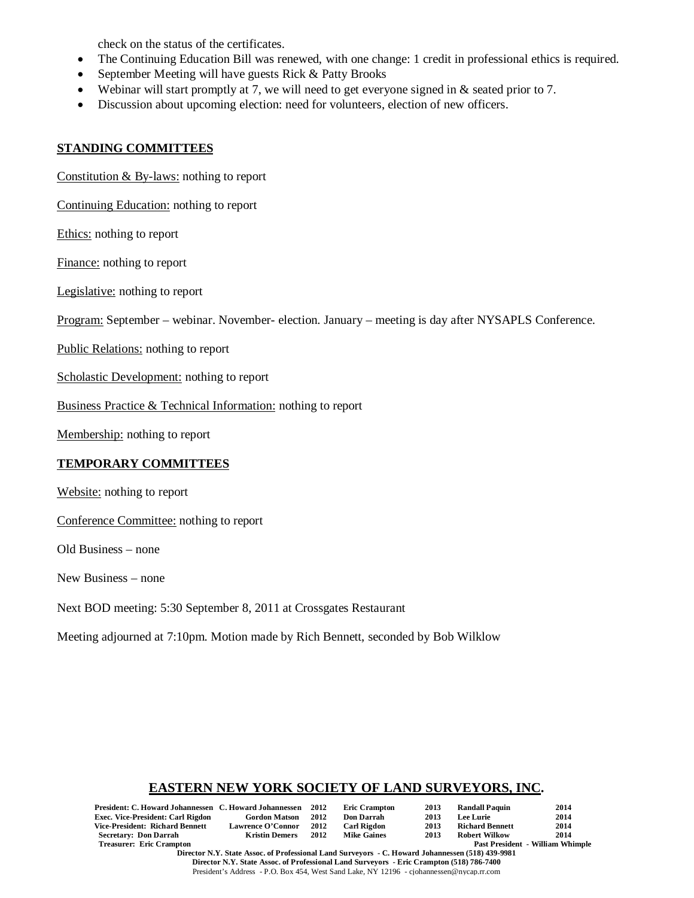check on the status of the certificates.

- The Continuing Education Bill was renewed, with one change: 1 credit in professional ethics is required.
- September Meeting will have guests Rick  $&$  Patty Brooks
- Webinar will start promptly at 7, we will need to get everyone signed in  $\&$  seated prior to 7.
- Discussion about upcoming election: need for volunteers, election of new officers.

# **STANDING COMMITTEES**

Constitution & By-laws: nothing to report

Continuing Education: nothing to report

Ethics: nothing to report

Finance: nothing to report

Legislative: nothing to report

Program: September – webinar. November- election. January – meeting is day after NYSAPLS Conference.

Public Relations: nothing to report

Scholastic Development: nothing to report

Business Practice & Technical Information: nothing to report

Membership: nothing to report

# **TEMPORARY COMMITTEES**

Website: nothing to report

Conference Committee: nothing to report

Old Business – none

New Business – none

Next BOD meeting: 5:30 September 8, 2011 at Crossgates Restaurant

Meeting adjourned at 7:10pm. Motion made by Rich Bennett, seconded by Bob Wilklow

# **EASTERN NEW YORK SOCIETY OF LAND SURVEYORS, INC.**

| President: C. Howard Johannessen C. Howard Johannessen |                          | 2012 | <b>Eric Crampton</b> | 2013 | <b>Randall Paquin</b>  | 2014                                    |
|--------------------------------------------------------|--------------------------|------|----------------------|------|------------------------|-----------------------------------------|
| <b>Exec. Vice-President: Carl Rigdon</b>               | <b>Gordon Matson</b>     | 2012 | <b>Don Darrah</b>    | 2013 | Lee Lurie              | 2014                                    |
| Vice-President: Richard Bennett                        | <b>Lawrence O'Connor</b> | 2012 | <b>Carl Rigdon</b>   | 2013 | <b>Richard Bennett</b> | 2014                                    |
| <b>Secretary: Don Darrah</b>                           | <b>Kristin Demers</b>    | 2012 | <b>Mike Gaines</b>   | 2013 | Robert Wilkow          | 2014                                    |
| Treasurer: Eric Crampton                               |                          |      |                      |      |                        | <b>Past President - William Whimple</b> |

**Director N.Y. State Assoc. of Professional Land Surveyors - C. Howard Johannessen (518) 439-9981 Director N.Y. State Assoc. of Professional Land Surveyors - Eric Crampton (518) 786-7400**  President's Address - P.O. Box 454, West Sand Lake, NY 12196 - cjohannessen@nycap.rr.com